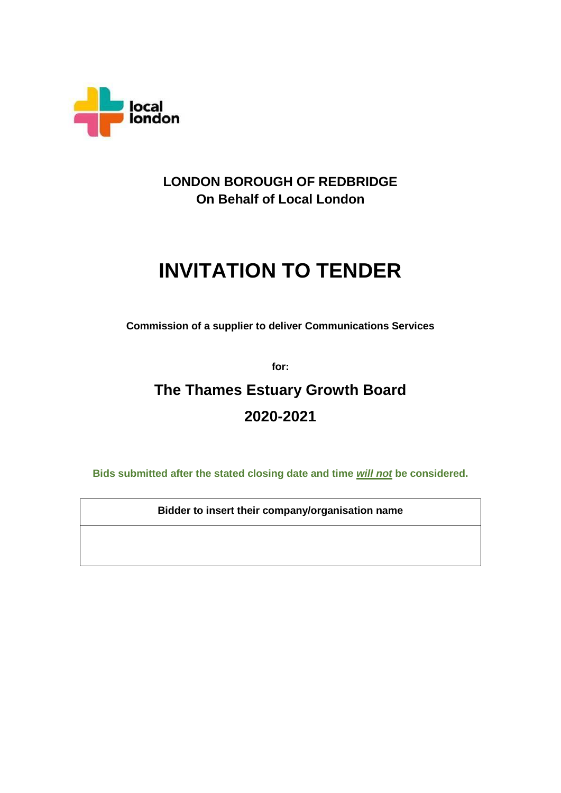

## **LONDON BOROUGH OF REDBRIDGE On Behalf of Local London**

# **INVITATION TO TENDER**

**Commission of a supplier to deliver Communications Services** 

**for:**

## **The Thames Estuary Growth Board 2020-2021**

**Bids submitted after the stated closing date and time** *will not* **be considered.**

**Bidder to insert their company/organisation name**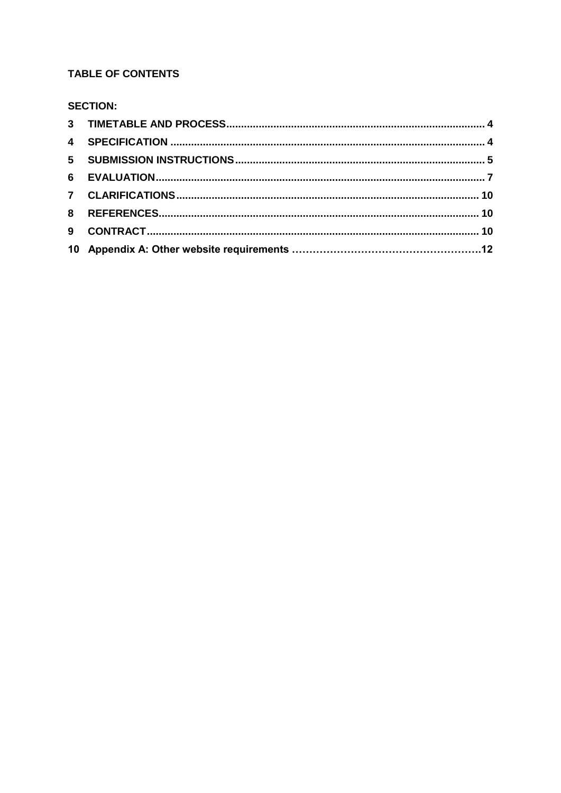## **TABLE OF CONTENTS**

## **SECTION:**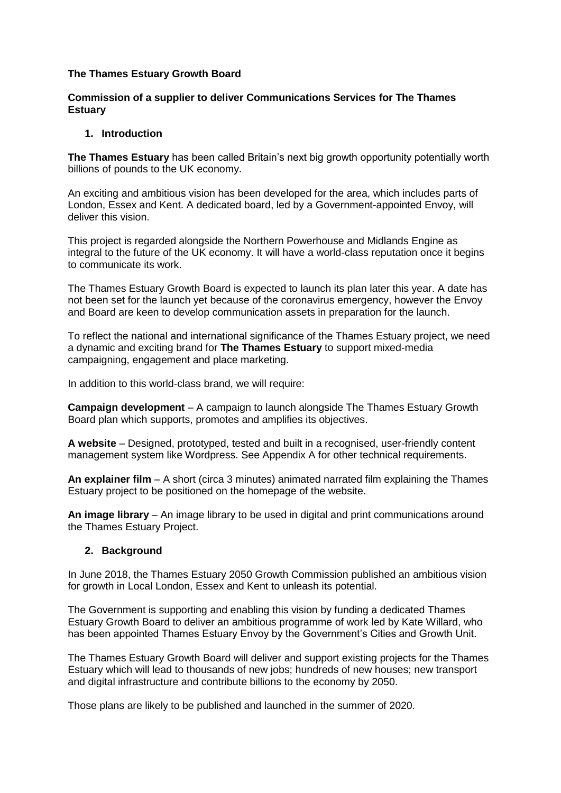#### **The Thames Estuary Growth Board**

## **Commission of a supplier to deliver Communications Services for The Thames Estuary**

#### **1. Introduction**

**The Thames Estuary** has been called Britain's next big growth opportunity potentially worth billions of pounds to the UK economy.

An exciting and ambitious vision has been developed for the area, which includes parts of London, Essex and Kent. A dedicated board, led by a Government-appointed Envoy, will deliver this vision.

This project is regarded alongside the Northern Powerhouse and Midlands Engine as integral to the future of the UK economy. It will have a world-class reputation once it begins to communicate its work.

The Thames Estuary Growth Board is expected to launch its plan later this year. A date has not been set for the launch yet because of the coronavirus emergency, however the Envoy and Board are keen to develop communication assets in preparation for the launch.

To reflect the national and international significance of the Thames Estuary project, we need a dynamic and exciting brand for **The Thames Estuary** to support mixed-media campaigning, engagement and place marketing.

In addition to this world-class brand, we will require:

**Campaign development** – A campaign to launch alongside The Thames Estuary Growth Board plan which supports, promotes and amplifies its objectives.

**A website** – Designed, prototyped, tested and built in a recognised, user-friendly content management system like Wordpress. See Appendix A for other technical requirements.

**An explainer film** – A short (circa 3 minutes) animated narrated film explaining the Thames Estuary project to be positioned on the homepage of the website.

**An image library** – An image library to be used in digital and print communications around the Thames Estuary Project.

## **2. Background**

In June 2018, the Thames Estuary 2050 Growth Commission published an ambitious vision for growth in Local London, Essex and Kent to unleash its potential.

The Government is supporting and enabling this vision by funding a dedicated Thames Estuary Growth Board to deliver an ambitious programme of work led by Kate Willard, who has been appointed Thames Estuary Envoy by the Government's Cities and Growth Unit.

The Thames Estuary Growth Board will deliver and support existing projects for the Thames Estuary which will lead to thousands of new jobs; hundreds of new houses; new transport and digital infrastructure and contribute billions to the economy by 2050.

Those plans are likely to be published and launched in the summer of 2020.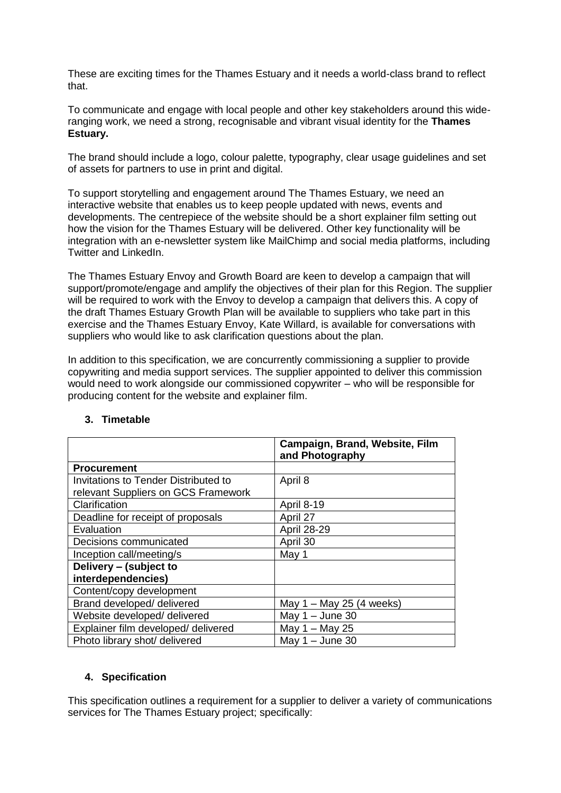These are exciting times for the Thames Estuary and it needs a world-class brand to reflect that.

To communicate and engage with local people and other key stakeholders around this wideranging work, we need a strong, recognisable and vibrant visual identity for the **Thames Estuary.**

The brand should include a logo, colour palette, typography, clear usage guidelines and set of assets for partners to use in print and digital.

To support storytelling and engagement around The Thames Estuary, we need an interactive website that enables us to keep people updated with news, events and developments. The centrepiece of the website should be a short explainer film setting out how the vision for the Thames Estuary will be delivered. Other key functionality will be integration with an e-newsletter system like MailChimp and social media platforms, including Twitter and LinkedIn.

The Thames Estuary Envoy and Growth Board are keen to develop a campaign that will support/promote/engage and amplify the objectives of their plan for this Region. The supplier will be required to work with the Envoy to develop a campaign that delivers this. A copy of the draft Thames Estuary Growth Plan will be available to suppliers who take part in this exercise and the Thames Estuary Envoy, Kate Willard, is available for conversations with suppliers who would like to ask clarification questions about the plan.

In addition to this specification, we are concurrently commissioning a supplier to provide copywriting and media support services. The supplier appointed to deliver this commission would need to work alongside our commissioned copywriter – who will be responsible for producing content for the website and explainer film.

|                                      | Campaign, Brand, Website, Film<br>and Photography |
|--------------------------------------|---------------------------------------------------|
| <b>Procurement</b>                   |                                                   |
| Invitations to Tender Distributed to | April 8                                           |
| relevant Suppliers on GCS Framework  |                                                   |
| Clarification                        | April 8-19                                        |
| Deadline for receipt of proposals    | April 27                                          |
| Evaluation                           | <b>April 28-29</b>                                |
| Decisions communicated               | April 30                                          |
| Inception call/meeting/s             | May 1                                             |
| Delivery - (subject to               |                                                   |
| interdependencies)                   |                                                   |
| Content/copy development             |                                                   |
| Brand developed/ delivered           | May $1 -$ May 25 (4 weeks)                        |
| Website developed/ delivered         | May $1 -$ June 30                                 |
| Explainer film developed/ delivered  | May $1 -$ May 25                                  |
| Photo library shot/ delivered        | May $1 -$ June 30                                 |

## **3. Timetable**

## **4. Specification**

This specification outlines a requirement for a supplier to deliver a variety of communications services for The Thames Estuary project; specifically: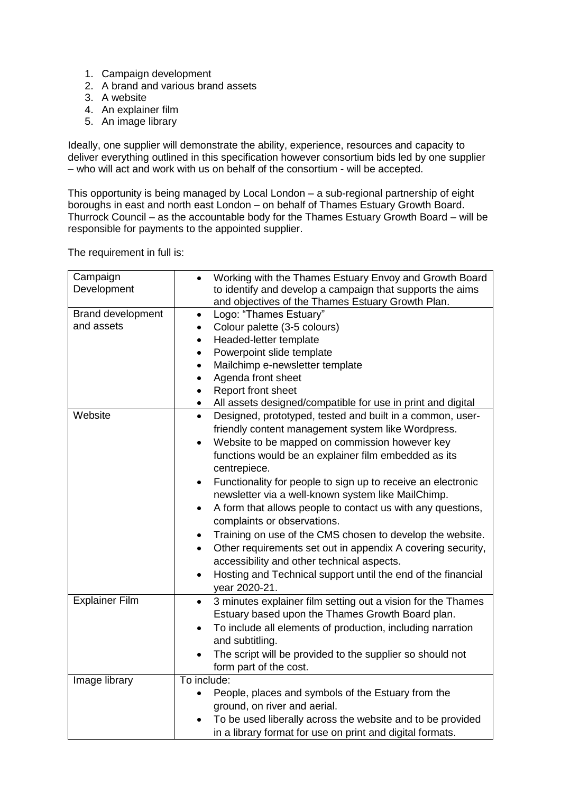- 1. Campaign development
- 2. A brand and various brand assets
- 3. A website
- 4. An explainer film
- 5. An image library

Ideally, one supplier will demonstrate the ability, experience, resources and capacity to deliver everything outlined in this specification however consortium bids led by one supplier – who will act and work with us on behalf of the consortium - will be accepted.

This opportunity is being managed by Local London – a sub-regional partnership of eight boroughs in east and north east London – on behalf of Thames Estuary Growth Board. Thurrock Council – as the accountable body for the Thames Estuary Growth Board – will be responsible for payments to the appointed supplier.

The requirement in full is:

| Campaign                 | Working with the Thames Estuary Envoy and Growth Board                    |
|--------------------------|---------------------------------------------------------------------------|
| Development              | to identify and develop a campaign that supports the aims                 |
|                          | and objectives of the Thames Estuary Growth Plan.                         |
| <b>Brand development</b> | Logo: "Thames Estuary"<br>$\bullet$                                       |
| and assets               | Colour palette (3-5 colours)                                              |
|                          | Headed-letter template<br>$\bullet$                                       |
|                          | Powerpoint slide template<br>$\bullet$                                    |
|                          | Mailchimp e-newsletter template<br>٠                                      |
|                          | Agenda front sheet<br>٠                                                   |
|                          | Report front sheet<br>$\bullet$                                           |
|                          | All assets designed/compatible for use in print and digital<br>$\bullet$  |
| Website                  | Designed, prototyped, tested and built in a common, user-<br>$\bullet$    |
|                          | friendly content management system like Wordpress.                        |
|                          | Website to be mapped on commission however key<br>$\bullet$               |
|                          | functions would be an explainer film embedded as its                      |
|                          | centrepiece.                                                              |
|                          | Functionality for people to sign up to receive an electronic<br>$\bullet$ |
|                          | newsletter via a well-known system like MailChimp.                        |
|                          | A form that allows people to contact us with any questions,<br>٠          |
|                          | complaints or observations.                                               |
|                          | Training on use of the CMS chosen to develop the website.<br>٠            |
|                          | Other requirements set out in appendix A covering security,<br>$\bullet$  |
|                          | accessibility and other technical aspects.                                |
|                          | Hosting and Technical support until the end of the financial<br>$\bullet$ |
|                          | year 2020-21.                                                             |
| <b>Explainer Film</b>    | 3 minutes explainer film setting out a vision for the Thames<br>$\bullet$ |
|                          | Estuary based upon the Thames Growth Board plan.                          |
|                          |                                                                           |
|                          | To include all elements of production, including narration                |
|                          | and subtitling.                                                           |
|                          | The script will be provided to the supplier so should not                 |
|                          | form part of the cost.                                                    |
| Image library            | To include:                                                               |
|                          | People, places and symbols of the Estuary from the<br>$\bullet$           |
|                          | ground, on river and aerial.                                              |
|                          | To be used liberally across the website and to be provided                |
|                          | in a library format for use on print and digital formats.                 |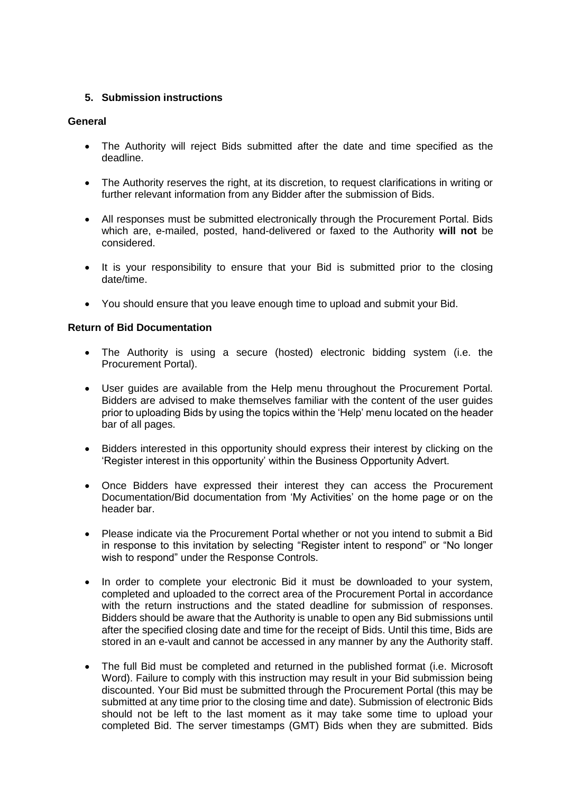## **5. Submission instructions**

## **General**

- The Authority will reject Bids submitted after the date and time specified as the deadline.
- The Authority reserves the right, at its discretion, to request clarifications in writing or further relevant information from any Bidder after the submission of Bids.
- All responses must be submitted electronically through the Procurement Portal. Bids which are, e-mailed, posted, hand-delivered or faxed to the Authority **will not** be considered.
- It is your responsibility to ensure that your Bid is submitted prior to the closing date/time.
- You should ensure that you leave enough time to upload and submit your Bid.

## **Return of Bid Documentation**

- The Authority is using a secure (hosted) electronic bidding system (i.e. the Procurement Portal).
- User guides are available from the Help menu throughout the Procurement Portal. Bidders are advised to make themselves familiar with the content of the user guides prior to uploading Bids by using the topics within the 'Help' menu located on the header bar of all pages.
- Bidders interested in this opportunity should express their interest by clicking on the 'Register interest in this opportunity' within the Business Opportunity Advert.
- Once Bidders have expressed their interest they can access the Procurement Documentation/Bid documentation from 'My Activities' on the home page or on the header bar.
- Please indicate via the Procurement Portal whether or not you intend to submit a Bid in response to this invitation by selecting "Register intent to respond" or "No longer wish to respond" under the Response Controls.
- In order to complete your electronic Bid it must be downloaded to your system, completed and uploaded to the correct area of the Procurement Portal in accordance with the return instructions and the stated deadline for submission of responses. Bidders should be aware that the Authority is unable to open any Bid submissions until after the specified closing date and time for the receipt of Bids. Until this time, Bids are stored in an e-vault and cannot be accessed in any manner by any the Authority staff.
- The full Bid must be completed and returned in the published format (i.e. Microsoft Word). Failure to comply with this instruction may result in your Bid submission being discounted. Your Bid must be submitted through the Procurement Portal (this may be submitted at any time prior to the closing time and date). Submission of electronic Bids should not be left to the last moment as it may take some time to upload your completed Bid. The server timestamps (GMT) Bids when they are submitted. Bids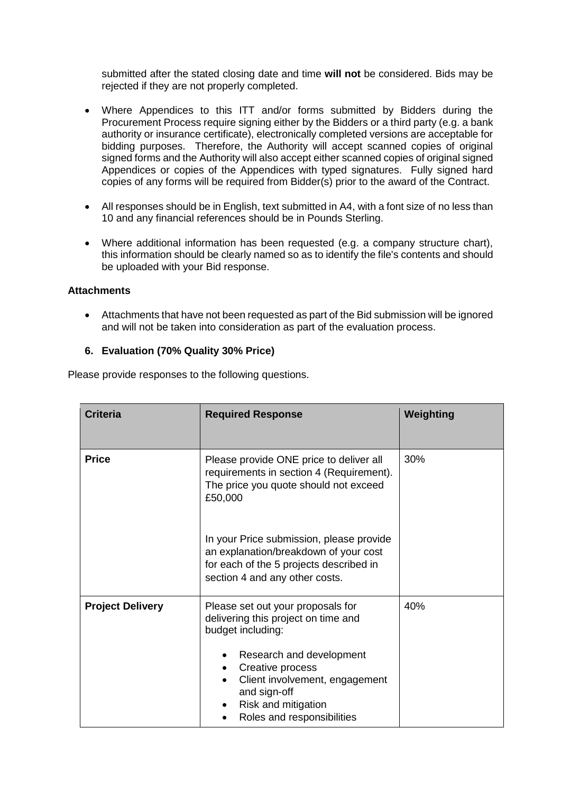submitted after the stated closing date and time **will not** be considered. Bids may be rejected if they are not properly completed.

- Where Appendices to this ITT and/or forms submitted by Bidders during the Procurement Process require signing either by the Bidders or a third party (e.g. a bank authority or insurance certificate), electronically completed versions are acceptable for bidding purposes. Therefore, the Authority will accept scanned copies of original signed forms and the Authority will also accept either scanned copies of original signed Appendices or copies of the Appendices with typed signatures. Fully signed hard copies of any forms will be required from Bidder(s) prior to the award of the Contract.
- All responses should be in English, text submitted in A4, with a font size of no less than 10 and any financial references should be in Pounds Sterling.
- Where additional information has been requested (e.g. a company structure chart), this information should be clearly named so as to identify the file's contents and should be uploaded with your Bid response.

#### **Attachments**

• Attachments that have not been requested as part of the Bid submission will be ignored and will not be taken into consideration as part of the evaluation process.

#### **6. Evaluation (70% Quality 30% Price)**

Please provide responses to the following questions.

| <b>Criteria</b>         | <b>Required Response</b>                                                                                                                                       | Weighting |
|-------------------------|----------------------------------------------------------------------------------------------------------------------------------------------------------------|-----------|
| <b>Price</b>            | Please provide ONE price to deliver all<br>requirements in section 4 (Requirement).<br>The price you quote should not exceed<br>£50,000                        | 30%       |
|                         | In your Price submission, please provide<br>an explanation/breakdown of your cost<br>for each of the 5 projects described in<br>section 4 and any other costs. |           |
| <b>Project Delivery</b> | Please set out your proposals for<br>delivering this project on time and<br>budget including:                                                                  | 40%       |
|                         | Research and development<br>Creative process<br>Client involvement, engagement<br>and sign-off<br>Risk and mitigation<br>Roles and responsibilities            |           |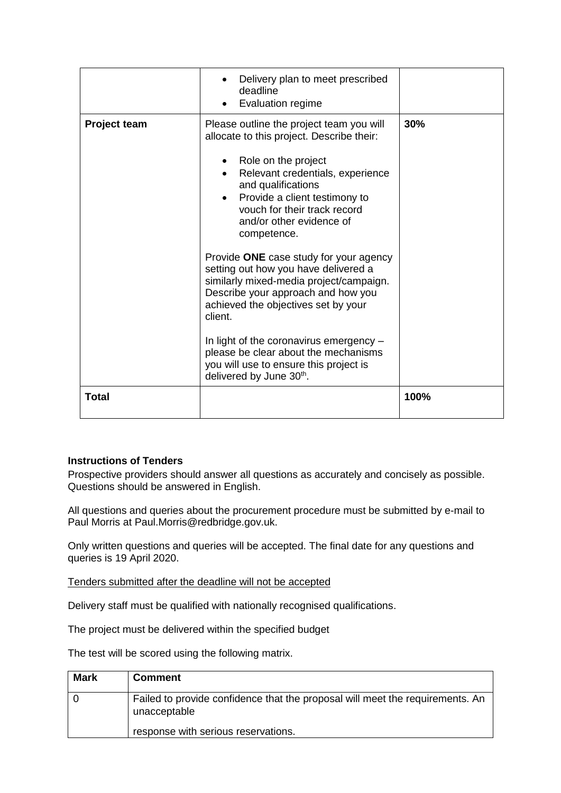|                     | Delivery plan to meet prescribed<br>deadline<br>Evaluation regime                                                                                                                                                 |      |
|---------------------|-------------------------------------------------------------------------------------------------------------------------------------------------------------------------------------------------------------------|------|
| <b>Project team</b> | Please outline the project team you will<br>allocate to this project. Describe their:                                                                                                                             | 30%  |
|                     | Role on the project<br>Relevant credentials, experience<br>and qualifications<br>Provide a client testimony to<br>$\bullet$<br>vouch for their track record<br>and/or other evidence of<br>competence.            |      |
|                     | Provide ONE case study for your agency<br>setting out how you have delivered a<br>similarly mixed-media project/campaign.<br>Describe your approach and how you<br>achieved the objectives set by your<br>client. |      |
|                     | In light of the coronavirus emergency -<br>please be clear about the mechanisms<br>you will use to ensure this project is<br>delivered by June 30th.                                                              |      |
| <b>Total</b>        |                                                                                                                                                                                                                   | 100% |

## **Instructions of Tenders**

Prospective providers should answer all questions as accurately and concisely as possible. Questions should be answered in English.

All questions and queries about the procurement procedure must be submitted by e-mail to Paul Morris at Paul.Morris@redbridge.gov.uk.

Only written questions and queries will be accepted. The final date for any questions and queries is 19 April 2020.

Tenders submitted after the deadline will not be accepted

Delivery staff must be qualified with nationally recognised qualifications.

The project must be delivered within the specified budget

The test will be scored using the following matrix.

| <b>Mark</b> | <b>Comment</b>                                                                                |
|-------------|-----------------------------------------------------------------------------------------------|
|             | Failed to provide confidence that the proposal will meet the requirements. An<br>unacceptable |
|             | response with serious reservations.                                                           |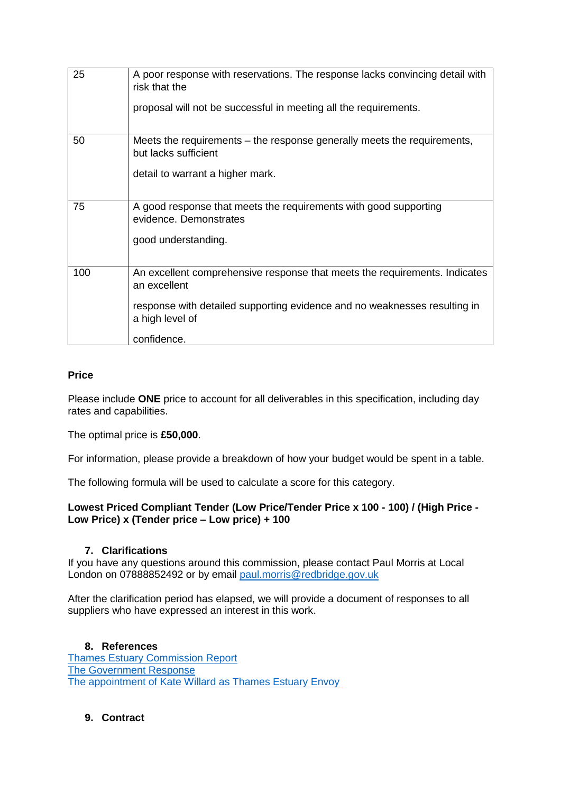| 25  | A poor response with reservations. The response lacks convincing detail with<br>risk that the<br>proposal will not be successful in meeting all the requirements.                                         |
|-----|-----------------------------------------------------------------------------------------------------------------------------------------------------------------------------------------------------------|
| 50  | Meets the requirements – the response generally meets the requirements,<br>but lacks sufficient<br>detail to warrant a higher mark.                                                                       |
| 75  | A good response that meets the requirements with good supporting<br>evidence. Demonstrates<br>good understanding.                                                                                         |
| 100 | An excellent comprehensive response that meets the requirements. Indicates<br>an excellent<br>response with detailed supporting evidence and no weaknesses resulting in<br>a high level of<br>confidence. |

## **Price**

Please include **ONE** price to account for all deliverables in this specification, including day rates and capabilities.

The optimal price is **£50,000**.

For information, please provide a breakdown of how your budget would be spent in a table.

The following formula will be used to calculate a score for this category.

## **Lowest Priced Compliant Tender (Low Price/Tender Price x 100 - 100) / (High Price - Low Price) x (Tender price – Low price) + 100**

## **7. Clarifications**

If you have any questions around this commission, please contact Paul Morris at Local London on 07888852492 or by email [paul.morris@redbridge.gov.uk](mailto:paul.morris@redbridge.gov.uk)

After the clarification period has elapsed, we will provide a document of responses to all suppliers who have expressed an interest in this work.

## **8. References**

[Thames Estuary Commission Report](https://assets.publishing.service.gov.uk/government/uploads/system/uploads/attachment_data/file/718805/2050_Vision.pdf) [The Government Response](https://www.gov.uk/government/publications/thames-estuary-2050-growth-commission-report) [The appointment of Kate Willard as Thames Estuary Envoy](https://www.gov.uk/government/news/estuary-envoy-appointed-to-spearhead-ambitious-thames-estuary-growth-plans)

## **9. Contract**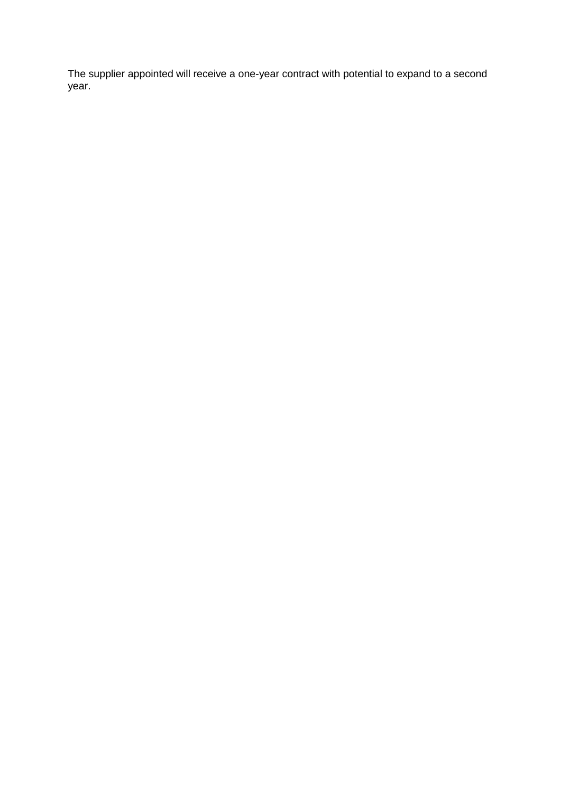The supplier appointed will receive a one-year contract with potential to expand to a second year.